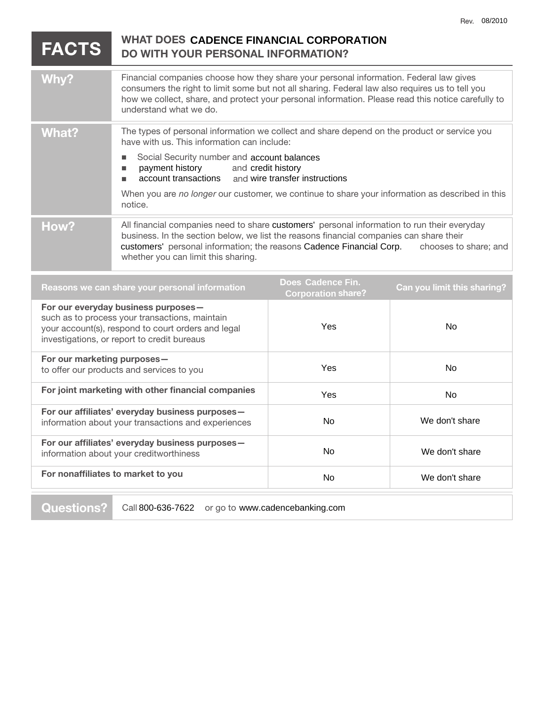|                                                                                                                                                                                            |                                                                                                                                                                                                                                                                                                                                |                                                | <b>Hev. 08/2010</b>         |
|--------------------------------------------------------------------------------------------------------------------------------------------------------------------------------------------|--------------------------------------------------------------------------------------------------------------------------------------------------------------------------------------------------------------------------------------------------------------------------------------------------------------------------------|------------------------------------------------|-----------------------------|
| <b>FACTS</b>                                                                                                                                                                               | <b>WHAT DOES CADENCE FINANCIAL CORPORATION</b><br>DO WITH YOUR PERSONAL INFORMATION?                                                                                                                                                                                                                                           |                                                |                             |
| <b>Why?</b>                                                                                                                                                                                | Financial companies choose how they share your personal information. Federal law gives<br>consumers the right to limit some but not all sharing. Federal law also requires us to tell you<br>how we collect, share, and protect your personal information. Please read this notice carefully to<br>understand what we do.      |                                                |                             |
| <b>What?</b>                                                                                                                                                                               | The types of personal information we collect and share depend on the product or service you<br>have with us. This information can include:                                                                                                                                                                                     |                                                |                             |
|                                                                                                                                                                                            | Social Security number and account balances<br>$\blacksquare$<br>payment history<br>and credit history<br>п<br>account transactions<br>٠                                                                                                                                                                                       | and wire transfer instructions                 |                             |
|                                                                                                                                                                                            | When you are no longer our customer, we continue to share your information as described in this<br>notice.                                                                                                                                                                                                                     |                                                |                             |
| How?                                                                                                                                                                                       | All financial companies need to share customers' personal information to run their everyday<br>business. In the section below, we list the reasons financial companies can share their<br>customers' personal information; the reasons Cadence Financial Corp.<br>chooses to share; and<br>whether you can limit this sharing. |                                                |                             |
| Reasons we can share your personal information                                                                                                                                             |                                                                                                                                                                                                                                                                                                                                | Does Cadence Fin.<br><b>Corporation share?</b> | Can you limit this sharing? |
| For our everyday business purposes-<br>such as to process your transactions, maintain<br>your account(s), respond to court orders and legal<br>investigations, or report to credit bureaus |                                                                                                                                                                                                                                                                                                                                | Yes                                            | <b>No</b>                   |
| For our marketing purposes-<br>to offer our products and services to you                                                                                                                   |                                                                                                                                                                                                                                                                                                                                | Yes                                            | <b>No</b>                   |
| For joint marketing with other financial companies                                                                                                                                         |                                                                                                                                                                                                                                                                                                                                | Yes                                            | No                          |
| For our affiliates' everyday business purposes-<br>information about your transactions and experiences                                                                                     |                                                                                                                                                                                                                                                                                                                                | <b>No</b>                                      | We don't share              |
| For our affiliates' everyday business purposes-<br>information about your creditworthiness                                                                                                 |                                                                                                                                                                                                                                                                                                                                | <b>No</b>                                      | We don't share              |
| For nonaffiliates to market to you                                                                                                                                                         |                                                                                                                                                                                                                                                                                                                                | No                                             | We don't share              |

**Questions?** Call 800-636-7622 or go to www.cadencebanking.com